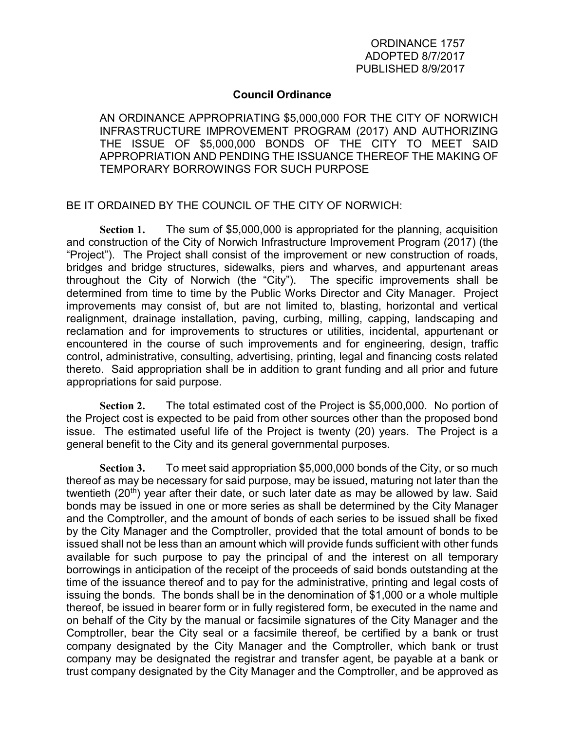## **Council Ordinance**

AN ORDINANCE APPROPRIATING \$5,000,000 FOR THE CITY OF NORWICH INFRASTRUCTURE IMPROVEMENT PROGRAM (2017) AND AUTHORIZING THE ISSUE OF \$5,000,000 BONDS OF THE CITY TO MEET SAID APPROPRIATION AND PENDING THE ISSUANCE THEREOF THE MAKING OF TEMPORARY BORROWINGS FOR SUCH PURPOSE

BE IT ORDAINED BY THE COUNCIL OF THE CITY OF NORWICH:

**Section 1.** The sum of \$5,000,000 is appropriated for the planning, acquisition and construction of the City of Norwich Infrastructure Improvement Program (2017) (the "Project"). The Project shall consist of the improvement or new construction of roads, bridges and bridge structures, sidewalks, piers and wharves, and appurtenant areas throughout the City of Norwich (the "City"). The specific improvements shall be determined from time to time by the Public Works Director and City Manager. Project improvements may consist of, but are not limited to, blasting, horizontal and vertical realignment, drainage installation, paving, curbing, milling, capping, landscaping and reclamation and for improvements to structures or utilities, incidental, appurtenant or encountered in the course of such improvements and for engineering, design, traffic control, administrative, consulting, advertising, printing, legal and financing costs related thereto. Said appropriation shall be in addition to grant funding and all prior and future appropriations for said purpose.

**Section 2.** The total estimated cost of the Project is \$5,000,000. No portion of the Project cost is expected to be paid from other sources other than the proposed bond issue. The estimated useful life of the Project is twenty (20) years. The Project is a general benefit to the City and its general governmental purposes.

**Section 3.** To meet said appropriation \$5,000,000 bonds of the City, or so much thereof as may be necessary for said purpose, may be issued, maturing not later than the twentieth (20<sup>th</sup>) year after their date, or such later date as may be allowed by law. Said bonds may be issued in one or more series as shall be determined by the City Manager and the Comptroller, and the amount of bonds of each series to be issued shall be fixed by the City Manager and the Comptroller, provided that the total amount of bonds to be issued shall not be less than an amount which will provide funds sufficient with other funds available for such purpose to pay the principal of and the interest on all temporary borrowings in anticipation of the receipt of the proceeds of said bonds outstanding at the time of the issuance thereof and to pay for the administrative, printing and legal costs of issuing the bonds. The bonds shall be in the denomination of \$1,000 or a whole multiple thereof, be issued in bearer form or in fully registered form, be executed in the name and on behalf of the City by the manual or facsimile signatures of the City Manager and the Comptroller, bear the City seal or a facsimile thereof, be certified by a bank or trust company designated by the City Manager and the Comptroller, which bank or trust company may be designated the registrar and transfer agent, be payable at a bank or trust company designated by the City Manager and the Comptroller, and be approved as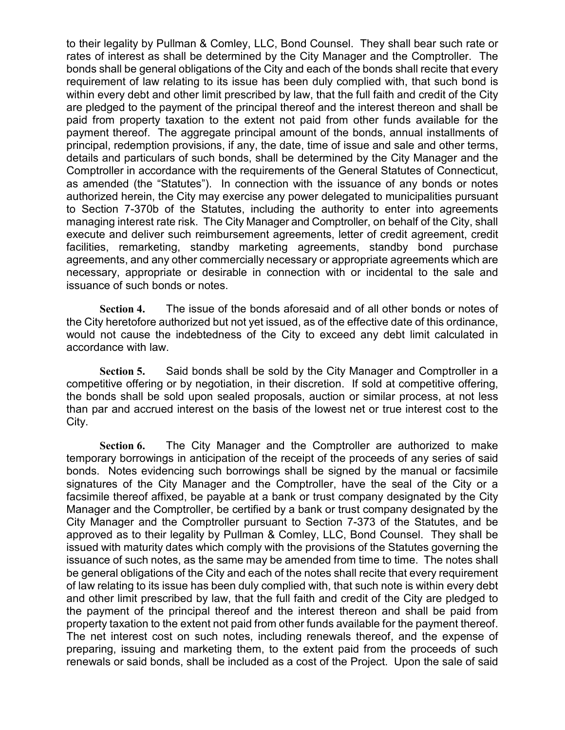to their legality by Pullman & Comley, LLC, Bond Counsel. They shall bear such rate or rates of interest as shall be determined by the City Manager and the Comptroller. The bonds shall be general obligations of the City and each of the bonds shall recite that every requirement of law relating to its issue has been duly complied with, that such bond is within every debt and other limit prescribed by law, that the full faith and credit of the City are pledged to the payment of the principal thereof and the interest thereon and shall be paid from property taxation to the extent not paid from other funds available for the payment thereof. The aggregate principal amount of the bonds, annual installments of principal, redemption provisions, if any, the date, time of issue and sale and other terms, details and particulars of such bonds, shall be determined by the City Manager and the Comptroller in accordance with the requirements of the General Statutes of Connecticut, as amended (the "Statutes"). In connection with the issuance of any bonds or notes authorized herein, the City may exercise any power delegated to municipalities pursuant to Section 7-370b of the Statutes, including the authority to enter into agreements managing interest rate risk. The City Manager and Comptroller, on behalf of the City, shall execute and deliver such reimbursement agreements, letter of credit agreement, credit facilities, remarketing, standby marketing agreements, standby bond purchase agreements, and any other commercially necessary or appropriate agreements which are necessary, appropriate or desirable in connection with or incidental to the sale and issuance of such bonds or notes.

**Section 4.** The issue of the bonds aforesaid and of all other bonds or notes of the City heretofore authorized but not yet issued, as of the effective date of this ordinance, would not cause the indebtedness of the City to exceed any debt limit calculated in accordance with law.

**Section 5.** Said bonds shall be sold by the City Manager and Comptroller in a competitive offering or by negotiation, in their discretion. If sold at competitive offering, the bonds shall be sold upon sealed proposals, auction or similar process, at not less than par and accrued interest on the basis of the lowest net or true interest cost to the City.

**Section 6.** The City Manager and the Comptroller are authorized to make temporary borrowings in anticipation of the receipt of the proceeds of any series of said bonds. Notes evidencing such borrowings shall be signed by the manual or facsimile signatures of the City Manager and the Comptroller, have the seal of the City or a facsimile thereof affixed, be payable at a bank or trust company designated by the City Manager and the Comptroller, be certified by a bank or trust company designated by the City Manager and the Comptroller pursuant to Section 7-373 of the Statutes, and be approved as to their legality by Pullman & Comley, LLC, Bond Counsel. They shall be issued with maturity dates which comply with the provisions of the Statutes governing the issuance of such notes, as the same may be amended from time to time. The notes shall be general obligations of the City and each of the notes shall recite that every requirement of law relating to its issue has been duly complied with, that such note is within every debt and other limit prescribed by law, that the full faith and credit of the City are pledged to the payment of the principal thereof and the interest thereon and shall be paid from property taxation to the extent not paid from other funds available for the payment thereof. The net interest cost on such notes, including renewals thereof, and the expense of preparing, issuing and marketing them, to the extent paid from the proceeds of such renewals or said bonds, shall be included as a cost of the Project. Upon the sale of said